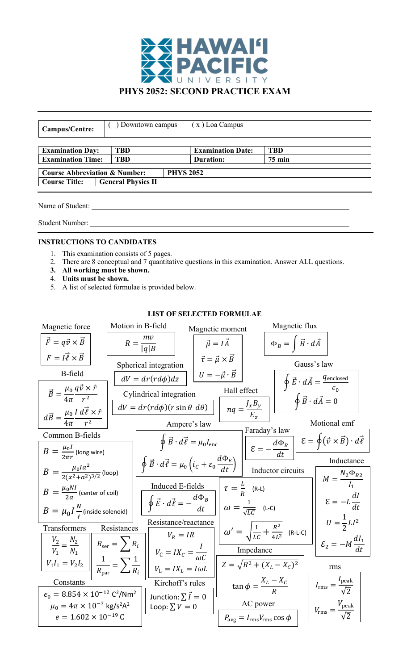

| Campus/Centre:                                                   | Downtown campus           |                  | $(x)$ Loa Campus         |                  |  |
|------------------------------------------------------------------|---------------------------|------------------|--------------------------|------------------|--|
| <b>Examination Day:</b>                                          | <b>TBD</b>                |                  | <b>Examination Date:</b> | <b>TBD</b>       |  |
| <b>Examination Time:</b>                                         | <b>TBD</b>                |                  | Duration:                | $75 \text{ min}$ |  |
| <b>Course Abbreviation &amp; Number:</b><br><b>Course Title:</b> | <b>General Physics II</b> | <b>PHYS 2052</b> |                          |                  |  |

Name of Student:

Student Number:

## INSTRUCTIONS TO CANDIDATES

- 1. This examination consists of 5 pages.
- 2. There are 8 conceptual and 7 quantitative questions in this examination. Answer ALL questions.
- 3. All working must be shown.
- 4. Units must be shown.
- 5. A list of selected formulae is provided below.

## LIST OF SELECTED FORMULAE

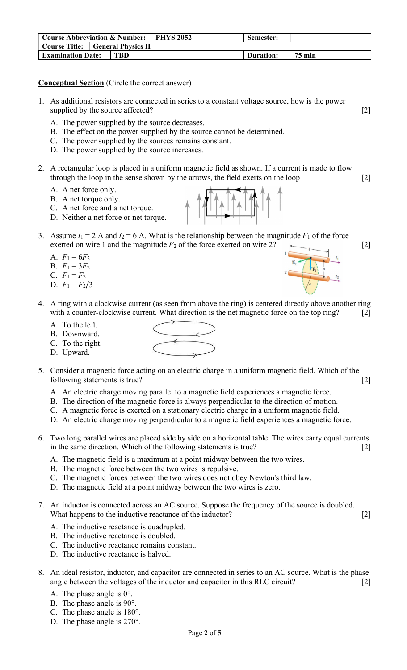| Course Abbreviation & Number: PHYS 2052 |                                         | Semester: |               |
|-----------------------------------------|-----------------------------------------|-----------|---------------|
|                                         | <b>Course Title:</b> General Physics II |           |               |
| <b>Examination Date:</b>                | <b>TBD</b>                              | Duration: | <b>75 min</b> |

Conceptual Section (Circle the correct answer)

- 1. As additional resistors are connected in series to a constant voltage source, how is the power supplied by the source affected? [2]
	- A. The power supplied by the source decreases.
	- B. The effect on the power supplied by the source cannot be determined.
	- C. The power supplied by the sources remains constant.
	- D. The power supplied by the source increases.
- 2. A rectangular loop is placed in a uniform magnetic field as shown. If a current is made to flow through the loop in the sense shown by the arrows, the field exerts on the loop [2]
	- A. A net force only.
	- B. A net torque only.
	- C. A net force and a net torque.
	- D. Neither a net force or net torque.
- 3. Assume  $I_1 = 2$  A and  $I_2 = 6$  A. What is the relationship between the magnitude  $F_1$  of the force exerted on wire 1 and the magnitude  $F_2$  of the force exerted on wire 2?  $\sim$  [2]
	- A.  $F_1 = 6F_2$ B.  $F_1 = 3F_2$ C.  $F_1 = F_2$
	- D.  $F_1 = F_2/3$
- 4. A ring with a clockwise current (as seen from above the ring) is centered directly above another ring with a counter-clockwise current. What direction is the net magnetic force on the top ring? [2]
	- A. To the left.
	- B. Downward.
	- C. To the right. D. Upward.
- $\begin{picture}(120,17) \put(15,15){\line(1,0){155}} \put(15,15){\line(1,0){155}} \put(15,15){\line(1,0){155}} \put(15,15){\line(1,0){155}} \put(15,15){\line(1,0){155}} \put(15,15){\line(1,0){155}} \put(15,15){\line(1,0){155}} \put(15,15){\line(1,0){155}} \put(15,15){\line(1,0){155}} \put(15,15){\line(1,0){155}} \put(15,15$
- 5. Consider a magnetic force acting on an electric charge in a uniform magnetic field. Which of the following statements is true? [2]
	- A. An electric charge moving parallel to a magnetic field experiences a magnetic force.
	- B. The direction of the magnetic force is always perpendicular to the direction of motion.
	- C. A magnetic force is exerted on a stationary electric charge in a uniform magnetic field.
	- D. An electric charge moving perpendicular to a magnetic field experiences a magnetic force.
- 6. Two long parallel wires are placed side by side on a horizontal table. The wires carry equal currents in the same direction. Which of the following statements is true? [2]
	- A. The magnetic field is a maximum at a point midway between the two wires.
	- B. The magnetic force between the two wires is repulsive.
	- C. The magnetic forces between the two wires does not obey Newton's third law.
	- D. The magnetic field at a point midway between the two wires is zero.
- 7. An inductor is connected across an AC source. Suppose the frequency of the source is doubled. What happens to the inductive reactance of the inductor? [2]
	- A. The inductive reactance is quadrupled.
	- B. The inductive reactance is doubled.
	- C. The inductive reactance remains constant.
	- D. The inductive reactance is halved.
- 8. An ideal resistor, inductor, and capacitor are connected in series to an AC source. What is the phase angle between the voltages of the inductor and capacitor in this RLC circuit? [2]
	- A. The phase angle is  $0^\circ$ .
	- B. The phase angle is 90°.
	- C. The phase angle is 180°.
	- D. The phase angle is 270°.

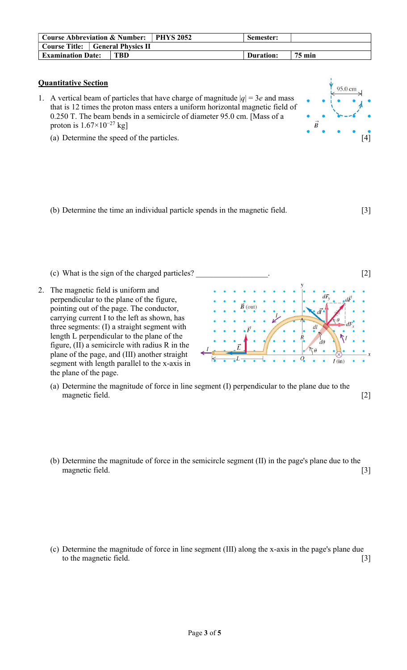| Course Abbreviation & Number: PHYS 2052 |  | Semester:  |           |               |
|-----------------------------------------|--|------------|-----------|---------------|
| <b>Course Title:</b> General Physics II |  |            |           |               |
| <b>Examination Date:</b>                |  | <b>TBD</b> | Duration: | <b>75 min</b> |

95.0 cm

## Quantitative Section

- 1. A vertical beam of particles that have charge of magnitude  $|q| = 3e$  and mass that is 12 times the proton mass enters a uniform horizontal magnetic field of 0.250 T. The beam bends in a semicircle of diameter 95.0 cm. [Mass of a proton is  $1.67\times10^{-27}$  kg]
	- (a) Determine the speed of the particles. [4]



- (c) What is the sign of the charged particles? [2] 2. The magnetic field is uniform and perpendicular to the plane of the figure, pointing out of the page. The conductor,  $(out)$ carrying current I to the left as shown, has three segments: (I) a straight segment with length L perpendicular to the plane of the  $d\theta$ figure, (II) a semicircle with radius R in the plane of the page, and (III) another straight segment with length parallel to the x-axis in the plane of the page.
	- (a) Determine the magnitude of force in line segment (I) perpendicular to the plane due to the magnetic field. [2]
	- (b) Determine the magnitude of force in the semicircle segment (II) in the page's plane due to the magnetic field. [3]

(c) Determine the magnitude of force in line segment (III) along the x-axis in the page's plane due to the magnetic field. [3]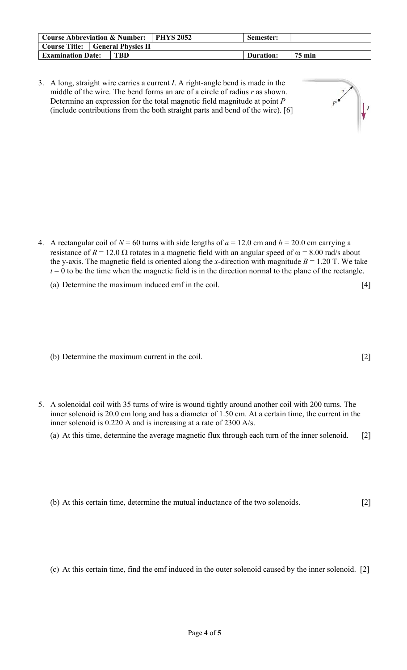| <b>Course Abbreviation &amp; Number:   PHYS 2052</b> |  | Semester: |           |               |
|------------------------------------------------------|--|-----------|-----------|---------------|
| <b>Course Title:</b> General Physics II              |  |           |           |               |
| <b>Examination Date:</b>                             |  | TBD       | Duration: | <b>75 min</b> |
|                                                      |  |           |           |               |

3. A long, straight wire carries a current I. A right-angle bend is made in the middle of the wire. The bend forms an arc of a circle of radius  $r$  as shown. Determine an expression for the total magnetic field magnitude at point P (include contributions from the both straight parts and bend of the wire). [6]

- 4. A rectangular coil of  $N = 60$  turns with side lengths of  $a = 12.0$  cm and  $b = 20.0$  cm carrying a resistance of  $R = 12.0 \Omega$  rotates in a magnetic field with an angular speed of  $\omega = 8.00$  rad/s about the y-axis. The magnetic field is oriented along the x-direction with magnitude  $B = 1.20$  T. We take  $t = 0$  to be the time when the magnetic field is in the direction normal to the plane of the rectangle.
	- (a) Determine the maximum induced emf in the coil. [4]
	- (b) Determine the maximum current in the coil. [2]
- 5. A solenoidal coil with 35 turns of wire is wound tightly around another coil with 200 turns. The inner solenoid is 20.0 cm long and has a diameter of 1.50 cm. At a certain time, the current in the inner solenoid is 0.220 A and is increasing at a rate of 2300 A/s.
	- (a) At this time, determine the average magnetic flux through each turn of the inner solenoid. [2]
	- (b) At this certain time, determine the mutual inductance of the two solenoids. [2]
	- (c) At this certain time, find the emf induced in the outer solenoid caused by the inner solenoid. [2]